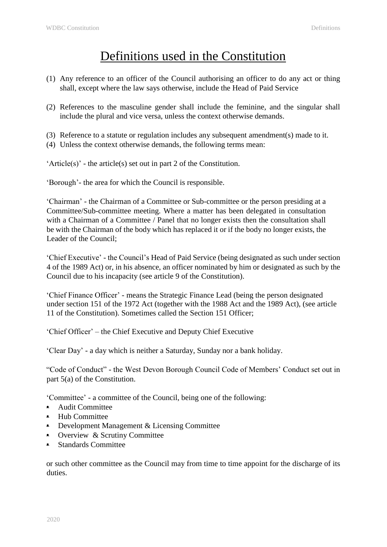## Definitions used in the Constitution

- (1) Any reference to an officer of the Council authorising an officer to do any act or thing shall, except where the law says otherwise, include the Head of Paid Service
- (2) References to the masculine gender shall include the feminine, and the singular shall include the plural and vice versa, unless the context otherwise demands.
- (3) Reference to a statute or regulation includes any subsequent amendment(s) made to it.
- (4) Unless the context otherwise demands, the following terms mean:

'Article(s)' - the article(s) set out in part 2 of the Constitution.

'Borough'- the area for which the Council is responsible.

'Chairman' - the Chairman of a Committee or Sub-committee or the person presiding at a Committee/Sub-committee meeting. Where a matter has been delegated in consultation with a Chairman of a Committee / Panel that no longer exists then the consultation shall be with the Chairman of the body which has replaced it or if the body no longer exists, the Leader of the Council;

'Chief Executive' - the Council's Head of Paid Service (being designated as such under section 4 of the 1989 Act) or, in his absence, an officer nominated by him or designated as such by the Council due to his incapacity (see article 9 of the Constitution).

'Chief Finance Officer' - means the Strategic Finance Lead (being the person designated under section 151 of the 1972 Act (together with the 1988 Act and the 1989 Act), (see article 11 of the Constitution). Sometimes called the Section 151 Officer;

'Chief Officer' – the Chief Executive and Deputy Chief Executive

'Clear Day' - a day which is neither a Saturday, Sunday nor a bank holiday.

"Code of Conduct" - the West Devon Borough Council Code of Members' Conduct set out in part 5(a) of the Constitution.

'Committee' - a committee of the Council, being one of the following:

- Audit Committee
- Hub Committee
- Development Management & Licensing Committee
- Overview & Scrutiny Committee
- Standards Committee

or such other committee as the Council may from time to time appoint for the discharge of its duties.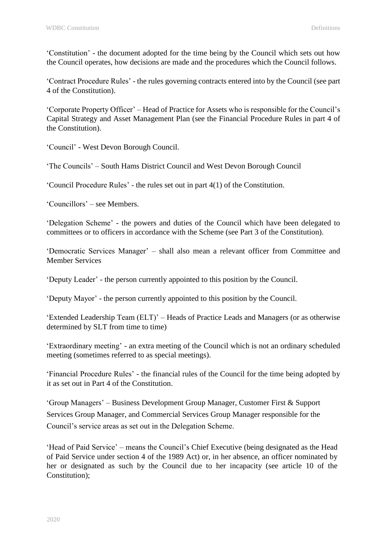'Constitution' - the document adopted for the time being by the Council which sets out how the Council operates, how decisions are made and the procedures which the Council follows.

'Contract Procedure Rules' - the rules governing contracts entered into by the Council (see part 4 of the Constitution).

'Corporate Property Officer' – Head of Practice for Assets who is responsible for the Council's Capital Strategy and Asset Management Plan (see the Financial Procedure Rules in part 4 of the Constitution).

'Council' - West Devon Borough Council.

'The Councils' – South Hams District Council and West Devon Borough Council

'Council Procedure Rules' - the rules set out in part 4(1) of the Constitution.

'Councillors' – see Members.

'Delegation Scheme' - the powers and duties of the Council which have been delegated to committees or to officers in accordance with the Scheme (see Part 3 of the Constitution).

'Democratic Services Manager' – shall also mean a relevant officer from Committee and Member Services

'Deputy Leader' - the person currently appointed to this position by the Council.

'Deputy Mayor' - the person currently appointed to this position by the Council.

'Extended Leadership Team (ELT)' – Heads of Practice Leads and Managers (or as otherwise determined by SLT from time to time)

'Extraordinary meeting' - an extra meeting of the Council which is not an ordinary scheduled meeting (sometimes referred to as special meetings).

'Financial Procedure Rules' - the financial rules of the Council for the time being adopted by it as set out in Part 4 of the Constitution.

'Group Managers' – Business Development Group Manager, Customer First & Support Services Group Manager, and Commercial Services Group Manager responsible for the Council's service areas as set out in the Delegation Scheme.

'Head of Paid Service' – means the Council's Chief Executive (being designated as the Head of Paid Service under section 4 of the 1989 Act) or, in her absence, an officer nominated by her or designated as such by the Council due to her incapacity (see article 10 of the Constitution);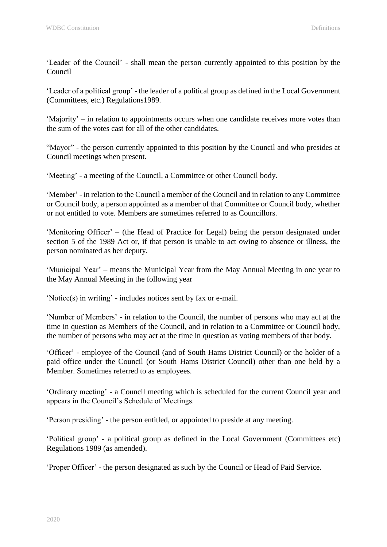'Leader of the Council' - shall mean the person currently appointed to this position by the Council

'Leader of a political group' - the leader of a political group as defined in the Local Government (Committees, etc.) Regulations1989.

'Majority' – in relation to appointments occurs when one candidate receives more votes than the sum of the votes cast for all of the other candidates.

"Mayor" - the person currently appointed to this position by the Council and who presides at Council meetings when present.

'Meeting' - a meeting of the Council, a Committee or other Council body.

'Member' - in relation to the Council a member of the Council and in relation to any Committee or Council body, a person appointed as a member of that Committee or Council body, whether or not entitled to vote. Members are sometimes referred to as Councillors.

'Monitoring Officer' – (the Head of Practice for Legal) being the person designated under section 5 of the 1989 Act or, if that person is unable to act owing to absence or illness, the person nominated as her deputy.

'Municipal Year' – means the Municipal Year from the May Annual Meeting in one year to the May Annual Meeting in the following year

'Notice(s) in writing' - includes notices sent by fax or e-mail.

'Number of Members' - in relation to the Council, the number of persons who may act at the time in question as Members of the Council, and in relation to a Committee or Council body, the number of persons who may act at the time in question as voting members of that body.

'Officer' - employee of the Council (and of South Hams District Council) or the holder of a paid office under the Council (or South Hams District Council) other than one held by a Member. Sometimes referred to as employees.

'Ordinary meeting' - a Council meeting which is scheduled for the current Council year and appears in the Council's Schedule of Meetings.

'Person presiding' - the person entitled, or appointed to preside at any meeting.

'Political group' - a political group as defined in the Local Government (Committees etc) Regulations 1989 (as amended).

'Proper Officer' - the person designated as such by the Council or Head of Paid Service.